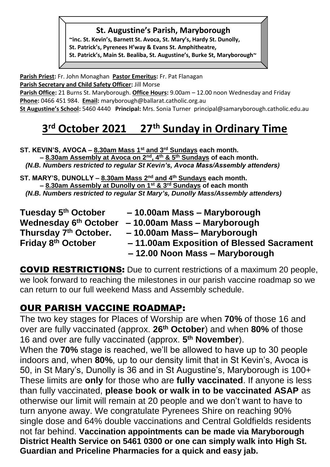#### **St. Augustine's Parish, Maryborough**

**~inc. St. Kevin's, Barnett St. Avoca, St. Mary's, Hardy St. Dunolly, St. Patrick's, Pyrenees H'way & Evans St. Amphitheatre, St. Patrick's, Main St. Bealiba, St. Augustine's, Burke St, Maryborough~**

**Parish Priest:** Fr. John Monaghan **Pastor Emeritus:** Fr. Pat Flanagan **Parish Secretary and Child Safety Officer:** Jill Morse

Parish Office: 21 Burns St. Maryborough. Office Hours: 9.00am – 12.00 noon Wednesday and Friday **Phone:** 0466 451 984. **Email:** [maryborough@ballarat.catholic.org.au](mailto:maryborough@ballarat.catholic.org.au) 

**St Augustine's School:** 5460 4440 **Principal:** Mrs. Sonia Turner [principal@samaryborough.catholic.edu.au](mailto:principal@samaryborough.catholic.edu.au)

#### **3 rd October 2021 27 th Sunday in Ordinary Time**

**ST. KEVIN'S, AVOCA – 8.30am Mass 1st and 3rd Sundays each month. – 8.30am Assembly at Avoca on 2nd, 4th & 5th Sundays of each month.**   *(N.B. Numbers restricted to regular St Kevin's, Avoca Mass/Assembly attenders)* 

**ST. MARY'S, DUNOLLY – 8.30am Mass 2nd and 4th Sundays each month. – 8.30am Assembly at Dunolly on 1st & 3rd Sundays of each month**  *(N.B. Numbers restricted to regular St Mary's, Dunolly Mass/Assembly attenders)*

**Tuesday 5 Wednesday 6 Thursday 7 Friday 8**

- **th October – 10.00am Mass – Maryborough**
- **th October – 10.00am Mass – Maryborough**
	- **th October. – 10.00am Mass– Maryborough** 
		- **th October – 11.00am Exposition of Blessed Sacrament – 12.00 Noon Mass – Maryborough**

COVID RESTRICTIONS: Due to current restrictions of a maximum 20 people, we look forward to reaching the milestones in our parish vaccine roadmap so we can return to our full weekend Mass and Assembly schedule.

# OUR PARISH VACCINE ROADMAP:

The two key stages for Places of Worship are when **70%** of those 16 and over are fully vaccinated (approx. **26th October**) and when **80%** of those 16 and over are fully vaccinated (approx. **5 th November**).

When the **70%** stage is reached, we'll be allowed to have up to 30 people indoors and, when **80%**, up to our density limit that in St Kevin's, Avoca is 50, in St Mary's, Dunolly is 36 and in St Augustine's, Maryborough is 100+ These limits are **only** for those who are **fully vaccinated**. If anyone is less than fully vaccinated, **please book or walk in to be vaccinated ASAP** as otherwise our limit will remain at 20 people and we don't want to have to turn anyone away. We congratulate Pyrenees Shire on reaching 90% single dose and 64% double vaccinations and Central Goldfields residents not far behind. **Vaccination appointments can be made via Maryborough District Health Service on 5461 0300 or one can simply walk into High St. Guardian and Priceline Pharmacies for a quick and easy jab.**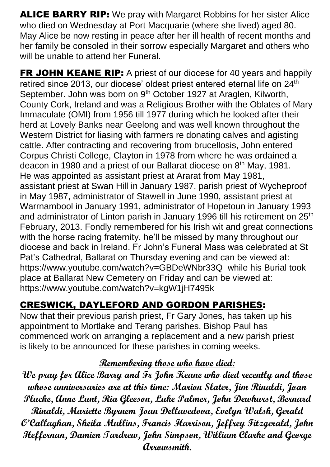ALICE BARRY RIP: We pray with Margaret Robbins for her sister Alice who died on Wednesday at Port Macquarie (where she lived) aged 80. May Alice be now resting in peace after her ill health of recent months and her family be consoled in their sorrow especially Margaret and others who will be unable to attend her Funeral.

**FR JOHN KEANE RIP:** A priest of our diocese for 40 years and happily retired since 2013, our diocese' oldest priest entered eternal life on 24<sup>th</sup> September. John was born on 9<sup>th</sup> October 1927 at Araglen, Kilworth, County Cork, Ireland and was a Religious Brother with the Oblates of Mary Immaculate (OMI) from 1956 till 1977 during which he looked after their herd at Lovely Banks near Geelong and was well known throughout the Western District for liasing with farmers re donating calves and agisting cattle. After contracting and recovering from brucellosis, John entered Corpus Christi College, Clayton in 1978 from where he was ordained a deacon in 1980 and a priest of our Ballarat diocese on 8<sup>th</sup> May, 1981. He was appointed as assistant priest at Ararat from May 1981, assistant priest at Swan Hill in January 1987, parish priest of Wycheproof in May 1987, administrator of Stawell in June 1990, assistant priest at Warrnambool in January 1991, administrator of Hopetoun in January 1993 and administrator of Linton parish in January 1996 till his retirement on 25<sup>th</sup> February, 2013. Fondly remembered for his Irish wit and great connections with the horse racing fraternity, he'll be missed by many throughout our diocese and back in Ireland. Fr John's Funeral Mass was celebrated at St Pat's Cathedral, Ballarat on Thursday evening and can be viewed at: https://www.youtube.com/watch?v=GBDeWNbr33Q while his Burial took place at Ballarat New Cemetery on Friday and can be viewed at: <https://www.youtube.com/watch?v=kgW1jH7495k>

# CRESWICK, DAYLEFORD AND GORDON PARISHES:

Now that their previous parish priest, Fr Gary Jones, has taken up his appointment to Mortlake and Terang parishes, Bishop Paul has commenced work on arranging a replacement and a new parish priest is likely to be announced for these parishes in coming weeks.

### **Remembering those who have died:**

**We pray for Alice Barry and Fr John Keane who died recently and those whose anniversaries are at this time: Marion Slater, Jim Rinaldi, Joan Plucke, Anne Lunt, Ria Gleeson, Luke Palmer, John Dewhurst, Bernard Rinaldi, Mariette Byrnem Joan Dellavedova, Evelyn Walsh, Gerald O'Callaghan, Sheila Mullins, Francis Harrison, Jeffrey Fitzgerald, John Heffernan, Damien Tardrew, John Simpson, William Clarke and George Arrowsmith.**